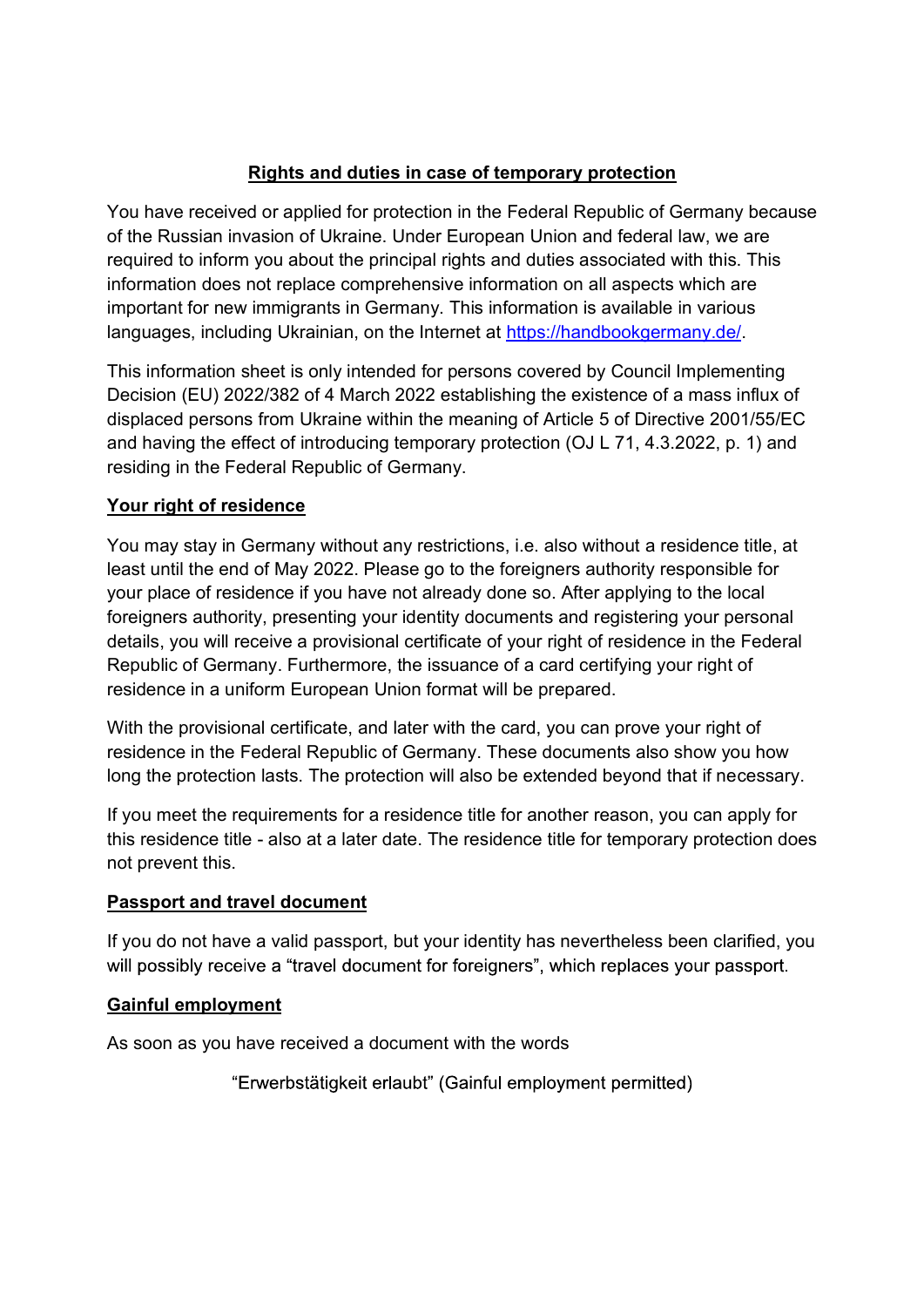Rights and duties in case of temporary protection<br>d or applied for protection in the Federal Republic of Germany because<br>vasion of Ukraine. Under European Union and federal law, we are<br>you about the principal rights and du **Rights and duties in case of temporary protection**<br>You have received or applied for protection in the Federal Republic of Germany because<br>of the Russian invasion of Ukraine. Under European Union and federal law, we are<br>in **Example 15 Section**<br> **Rights and duties in case of temporary protection**<br>
You have received or applied for protection in the Federal Republic of Germany because<br>
of the Russian invasion of Ukraine. Under European Union an **Rights and duties in case of temporary protection**<br>You have received or applied for protection in the Federal Republic of Germany because<br>of the Russian invasion of Ukraine. Under European Union and federal law, we are<br>re **Example 15 Solution does notice in case of temporary protection**<br>You have received or applied for protection in the Federal Republic of Germany because<br>of the Russian invasion of Ukraine. Under European Union and federal **Example 15 Standard Markow Science of the matter for new immigrants of the Russian invasion of Ukraine. Under European Union and federal law, we are required to inform you about the principal rights and duties associated Rights and duties in case of temporary protection**<br>of the Russian invasion of Ukraine. Under European Union and federal law, we are<br>required to inform you about the principal rights and duties associated with this. This<br>i **Existing and duries in case of temporary protection**<br>You have received or applied for protection in the Federal Republic of Germany because<br>of the Russian invasion of Ukraine. Under European Union and federal law, we are **Example 12**<br>
You have received or applied for protection in the Federal Republic of Germany because<br>
of the Russian invasion of Ukraine. Under European Union and federal law, we are<br>
required to inform you about the princ **Example 19: Rights and duties in case of temporary protection**<br>
You have received or applied for protection in the Federal Republic of Germany because<br>
of the Russian invasion of Ukraine. Under European Union and feder **Example 16 You have received or applied for protection in the Federal Republic of Germany because<br>of the Russian invasion of Ukraine. Under European Union and federal law, we are<br>prequired to inform you about the principa Example 15 Set Theory of The May 2022**<br> **Rights and duties in case of temporary protection**<br>
You have received or applied for protection in the Federal Republic of German<br>
of the Russian invasion of Ukraine. Under Europea **Example 19 The Multion School of the Federal Republic of Germany because**<br>of the Russian invasion of Ukraine. Under European Union and federal law, we are<br>required to inform you about the principal rights and duties assoc **Example 12 Examples in case of temporary protection**<br>
You have received or applied for protection in the Federal Republic of Germany because<br>
of the Russian invasion of Ukraine. Under European Union and federal law, we ar

You have received or applied for protection in the Federal Republic of Germany because<br>of the Russian invasion of Ukraine. Under European Union and federal law, we are<br>required to inform you about the principal rights and For the the terestic of interestic of policial many beach the relation of the Russian invasion of Ukraine. Under European Union and federal law, we are required to inform you about the principal rights and duties associate of the Russian Inwasion of o Natame. Onder European formion and everal taw, we are<br>required to inform you about the principal rights and duties associated with this. This<br>information does not replace comprehensive informat require to inform you about the plincipal methanol information described in the information despects which are<br>important for new immigrants in Germany. This information on all aspects which are<br>important for new immigrants momination coes not repiace completentsive information on an aspects wincit are<br>important for new immigrants in Germany. This information in a vailable in various<br>languages, including Ukrainian, on the Internet at https:// languages, including Ukrainian, on the Internet at <u>https://handbookgermany.de/</u><br>This information sheet is only intended for persons covered by Council Implementing<br>Decision (EU) 2022/382 of 4 March 2022 establishing the e This information sheet is only intended for persons covered by Council Implementing<br>Decision (EU) 2022/382 of 4 March 2022 establishing the existence of a mass influx of<br>displaced persons form Ukraine within the meaning of This mindmator sheet is omigrated to persons covered by Council imperimenting<br>Decision (EU) 2022/382 of 4 March 2022 establishing the existence of a mass influx of<br>displaced persons from Ukraine within the meaning of Artic displaced persons from Ukraine within the meaning of Article 5 of Directive 2001/55/EC<br>ensiding the effect of introducing temporary protection (OJ L 71, 4.3.2022, p. 1) and<br>residing in the Federal Republic of Germany.<br>Your and having the effect of introducing temporary protection (OJ L 71, 4.3.2022, p. 1) and<br>
residing in the Federal Republic of Germany.<br>
Your right of residence<br>
You may stay in Germany without any restrictions, i.e. also wi residing in the Federal Republic of Germany.<br>
Your right of residence<br>
You may stay in Germany without any restrictions, i.e. also without a reside<br>
least until the end of May 2022. Please go to the foreigners authority re Your right of residence<br>
You may stay in Germany without any restrictions, i.e. also without a residence title, c<br>
least until the end of May 2022. Please go to the foreigners authority responsible for<br>
your place of resid You may stay in Germany without any restrictions, i.e. also without a residence title, at least until the end of May 2022. Please go to the foreigners authority responsible for your place of residence if you have not alrea Foreigners authority, presenting your identity documents and registering<br>foreigners authority, presenting your identity documents and registering<br>details, you will receive a provisional certificate of your right of residen

details, you will receive a provisional certificate of your right of residence in the Federal<br>Republic of Germany. Furthermore, the issuance of a card certifying your right of<br>residence in a uniform European Union format w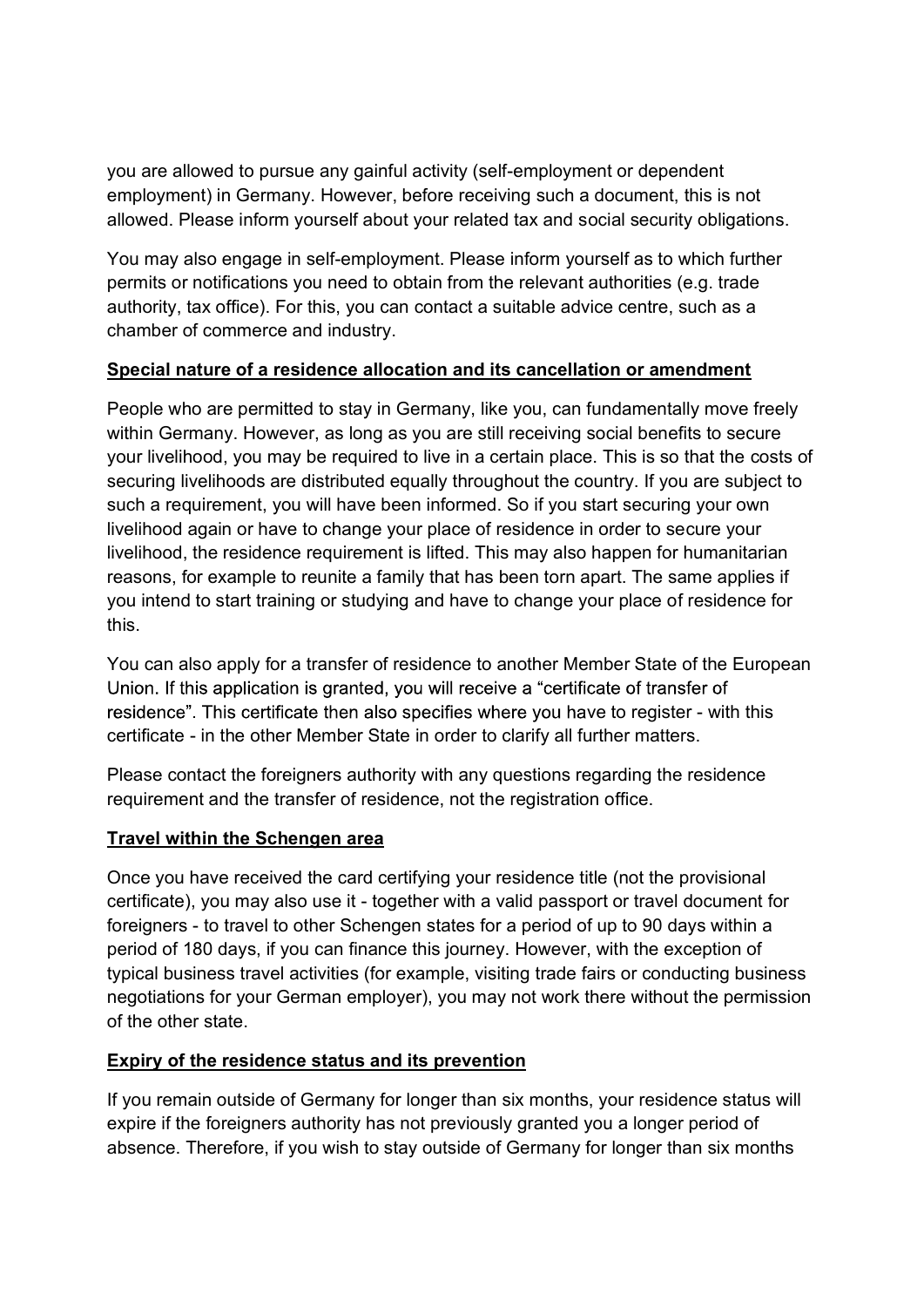you are allowed to pursue any gainful activity (self-employment or dependent<br>employment) in Germany. However, before receiving such a document, this is not<br>allowed. Please inform yourself about your related tax and social you are allowed to pursue any gainful activity (self-employment or dependent<br>employment) in Germany. However, before receiving such a document, this is not<br>allowed. Please inform yourself about your related tax and social

you are allowed to pursue any gainful activity (self-employment or dependent<br>employment) in Germany. However, before receiving such a document, this is not<br>allowed. Please inform yourself about your related tax and social you are allowed to pursue any gainful activity (self-employment or dependent<br>employment) in Germany. However, before receiving such a document, this is not<br>allowed. Please inform yourself about your related tax and social you are allowed to pursue any gainful activity (self-employment or dependent<br>employment) in Germany. However, before receiving such a document, this is not<br>allowed. Please inform yourself about your related tax and social you are allowed to pursue any gainful activity (self-employment or dependent<br>employment) in Germany. However, before receiving such a document, this is not<br>allowed. Please inform yourself about your related tax and social you are allowed to pursue any gainful activity (self-employment or dependent<br>employment) in Germany. However, before receiving such a document, this is not<br>allowed. Please inform yourself about your related tax and social you are allowed to pursue any gainful activity (self-employment or dependent<br>employment) in Germany. However, before receiving such a document, this is not<br>allowed. Please inform yourself about your related tax and social

you are allowed to pursue any gainful activity (self-employment or dependent<br>employment) in Germany. However, before receiving such a document, this is not<br>allowed. Please inform yourself about your related tax and social you are allowed to pursue any gainful activity (self-employment or dependent<br>enlopyment) in Germany. However, before receiving such a document, this is not<br>allowed. Please inform yourself about your related tax and social you are allowed to pursue any gainful activity (self-employment or dependent<br>employment) in Germany. However, before receiving such a document, this is not<br>allowed. Please inform yourself about your related tax and social you are allowed to pursue any gainful activity (self-employment or dependent<br>employment) in Germany. However, before receiving such a document, this is not<br>allowed. Please inform yourself about your related tax and social you are allowed to pursue any gainful activity (self-employment or dependent<br>employment) in Germany. However, before receiving such a document, this is not<br>allowed. Please inform yourself about your related tax and social you are allowed to pursue any gainful activity (self-employment or dependent<br>employment) in Germany. However, before receiving such a document, this is not<br>allowed. Please inform yourself about your related tax and social you are allowed to pursue any gainful activity (self-employment or dependent<br>employment) in Germany. However, before receiving such a document, this is not<br>allowed. Please inform yourself about your related tax and social you are allowed to pulsue any yallimul acutivity (seller-elliphoyitelit of ueperluent the sis not<br>employment) in Germany. However, before receiving such a document, this is not<br>allowed. Please inform yourself about your re entipuryinent) in coentrainy. However, uetrue tectering sucra docularent, unis is not<br>allowed. Please inform yourself about your related tax and social security obligations.<br>You may also engage in self-employment. Please i this. For the methanon and the methanon and the methanon in the relation is to which function<br>permits or notifications you need to obtain from the relevant authorities (e.g. trade<br>authority, tax office). For this, you can contac rice centre, such as a<br>
tion or amendment<br>
fundamentally move freely<br>
social benefits to secure<br>
e. This is so that the costs of<br>
buntry. If you are subject to<br>
start securing your own<br>
n order to secure your<br>
happen for h channer of commerce and mudstry.<br>
Special nature of a residence allocation and its cancellation or amendment<br>
Wein Germany. However, as long as you are still receiving social benefits to secure<br>
within Germany. However, as **Subcial hature or a residence anocation and its cancellation or amendment**<br>People who are permitted to stay in Germany, like you, can fundamentally move freely<br>within Germany. However, as long as you are still receiving s People who are permitted to stay in Germany, like you, can fundamentally move freely<br>with Germany. However, as long as you are still receiving social benefits to secure<br>your livelihood, you may be required to live in a cer whill counterlary. To wowever, as long as you are suri receiving social outerships on section position, you may be required to live in a certain place. This is so that the costs of securing livelihoods are distributed equa securing livelihoods are distributed equally throughout the country. If you are subject to<br>such a requirement, you will have been informed. So if you start securing your own<br>livelihood, again or have to change your place o such a requirement, you will have been informed. So if you start securing your own<br>ilveilhood again or have to change your place of residence in order to secure your<br>ilveilhood, the residence requirement is lifted. This ma

fivelihood again or have to change your place of residence in order to secure your<br>fivelihood, the residence requirement is lifted. This may also happen for humanitarian<br>freasons, for example to reunite a family that has b livelihood, the residence requirement is lifted. This may also happen for humanitarian freasons, for example to reunite a family that has been torn apart. The same applies if you intend to start training or studying and ha reasons, for example to reunite a family that has been torn apart. The same applies if<br>you intend to start training or studying and have to change your place of residence for<br>this.<br>You can also apply for a transfer of resi you intend to start training or studying and have to change your place of residence for<br>this.<br>This can calso apply for a transfer of residence to another Member State of the European<br>Union. If this application is granted, this.<br>
You can also apply for a transfer of residence to another Member State of the<br>
Union. If this application is granted, you will receive a "certificate of transfer<br>
residence". This certificate then also specifies whe You can also apply for a transfer of residence to another Member State of the European<br>Union. If this application is granted, you will receive a "certificate of transfer of<br>residence". This cortificate then also specifies **Explicit and the conduct of Germany for longer than six months, your residence** than experimeted than the other Member State in order to clarify all further matters.<br> **Please contact the foreigners authority with any ques** certificate - in the other Member State in order to clarify all further matters.<br>Please contact the foreigners authority with any questions regarding the residence<br>requirement and the transfer of residence, not the registr Please contact the foreigners authority with any questions regarding the residence<br>requirement and the transfer of residence, not the registration office.<br>Travel within the Schengen area<br>Travel within the Schengen area<br>Tra